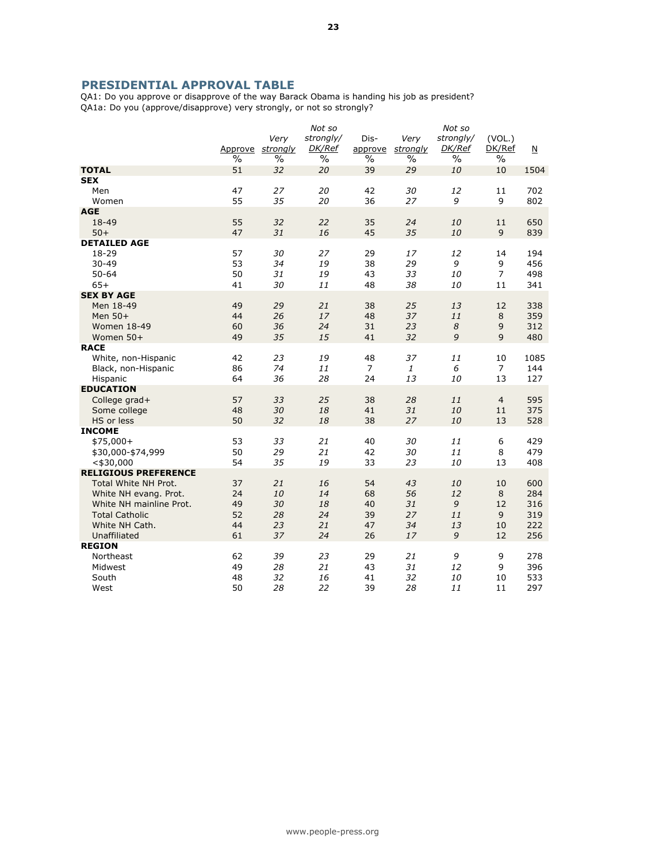## PRESIDENTIAL APPROVAL TABLE

QA1: Do you approve or disapprove of the way Barack Obama is handing his job as president? QA1a: Do you (approve/disapprove) very strongly, or not so strongly?

|                                   |      |                         | Not so        |         |          | Not so           |                      |                         |
|-----------------------------------|------|-------------------------|---------------|---------|----------|------------------|----------------------|-------------------------|
|                                   |      | Very                    | strongly/     | Dis-    | Very     | strongly/        | (VOL.)               |                         |
|                                   |      | Approve <i>strongly</i> | <b>DK/Ref</b> | approve | strongly | DK/Ref           | DK/Ref               | $\overline{\mathsf{N}}$ |
|                                   | $\%$ | $\%$                    | $\%$          | $\%$    | $\%$     | $\%$             | $\%$                 |                         |
| <b>TOTAL</b>                      | 51   | 32                      | 20            | 39      | 29       | 10               | 10                   | 1504                    |
| <b>SEX</b>                        |      |                         |               |         |          |                  |                      |                         |
| Men                               | 47   | 27                      | 20            | 42      | 30       | 12               | 11                   | 702                     |
| Women                             | 55   | 35                      | 20            | 36      | 27       | 9                | 9                    | 802                     |
| <b>AGE</b>                        |      |                         |               |         |          |                  |                      |                         |
| 18-49                             | 55   | 32                      | 22            | 35      | 24       | 10               | 11                   | 650                     |
| $50+$                             | 47   | 31                      | 16            | 45      | 35       | 10               | 9                    | 839                     |
| <b>DETAILED AGE</b>               |      |                         |               |         |          |                  |                      |                         |
| 18-29                             | 57   | 30                      | 27            | 29      | 17       | 12               | 14                   | 194                     |
| $30 - 49$                         | 53   | 34                      | 19            | 38      | 29       | 9                | 9                    | 456                     |
| $50 - 64$                         | 50   | 31                      | 19            | 43      | 33       | 10               | $\overline{7}$       | 498                     |
| $65+$                             | 41   | 30                      | 11            | 48      | 38       | 10               | 11                   | 341                     |
| <b>SEX BY AGE</b>                 |      |                         |               |         |          |                  |                      |                         |
| Men 18-49                         | 49   | 29                      | 21            | 38      | 25       | 13               | 12                   | 338                     |
| Men 50+                           | 44   | 26                      | 17            | 48      | 37       | 11               | 8                    | 359                     |
| <b>Women 18-49</b>                | 60   | 36                      | 24            | 31      | 23       | $\boldsymbol{8}$ | $\overline{9}$       | 312                     |
|                                   | 49   | 35                      | 15            | 41      | 32       | 9                | 9                    | 480                     |
| Women 50+<br><b>RACE</b>          |      |                         |               |         |          |                  |                      |                         |
|                                   | 42   | 23                      | 19            | 48      | 37       | 11               |                      | 1085                    |
| White, non-Hispanic               | 86   | 74                      | 11            | 7       | 1        | 6                | 10<br>$\overline{7}$ | 144                     |
| Black, non-Hispanic               |      | 36                      | 28            |         | 13       |                  |                      |                         |
| Hispanic                          | 64   |                         |               | 24      |          | 10               | 13                   | 127                     |
| <b>EDUCATION</b><br>College grad+ | 57   | 33                      | 25            | 38      | 28       | 11               | $\overline{4}$       | 595                     |
| Some college                      | 48   | 30                      | 18            | 41      | 31       | 10               | 11                   | 375                     |
| HS or less                        | 50   | 32                      | 18            | 38      | 27       | 10               | 13                   | 528                     |
| <b>INCOME</b>                     |      |                         |               |         |          |                  |                      |                         |
| $$75,000+$                        | 53   | 33                      | 21            | 40      | 30       | 11               | 6                    | 429                     |
|                                   | 50   | 29                      | 21            | 42      | 30       | 11               | 8                    | 479                     |
| \$30,000-\$74,999<br>$<$ \$30,000 | 54   | 35                      | 19            | 33      | 23       | 10               | 13                   | 408                     |
| <b>RELIGIOUS PREFERENCE</b>       |      |                         |               |         |          |                  |                      |                         |
| Total White NH Prot.              | 37   | 21                      | 16            | 54      | 43       | 10               | 10                   | 600                     |
|                                   | 24   | 10                      | 14            | 68      | 56       | 12               | 8                    | 284                     |
| White NH evang. Prot.             | 49   | 30                      | 18            | 40      | 31       | 9                |                      |                         |
| White NH mainline Prot.           |      |                         |               |         |          |                  | 12                   | 316                     |
| <b>Total Catholic</b>             | 52   | 28                      | 24            | 39      | 27       | 11               | 9                    | 319                     |
| White NH Cath.                    | 44   | 23                      | 21            | 47      | 34       | 13               | 10                   | 222                     |
| Unaffiliated                      | 61   | 37                      | 24            | 26      | 17       | 9                | 12                   | 256                     |
| <b>REGION</b>                     |      |                         |               |         |          |                  |                      |                         |
| Northeast                         | 62   | 39                      | 23            | 29      | 21       | 9                | 9                    | 278                     |
| Midwest                           | 49   | 28                      | 21            | 43      | 31       | 12               | 9                    | 396                     |
| South                             | 48   | 32                      | 16            | 41      | 32       | <i>10</i>        | 10                   | 533                     |
| West                              | 50   | 28                      | 22            | 39      | 28       | 11               | 11                   | 297                     |